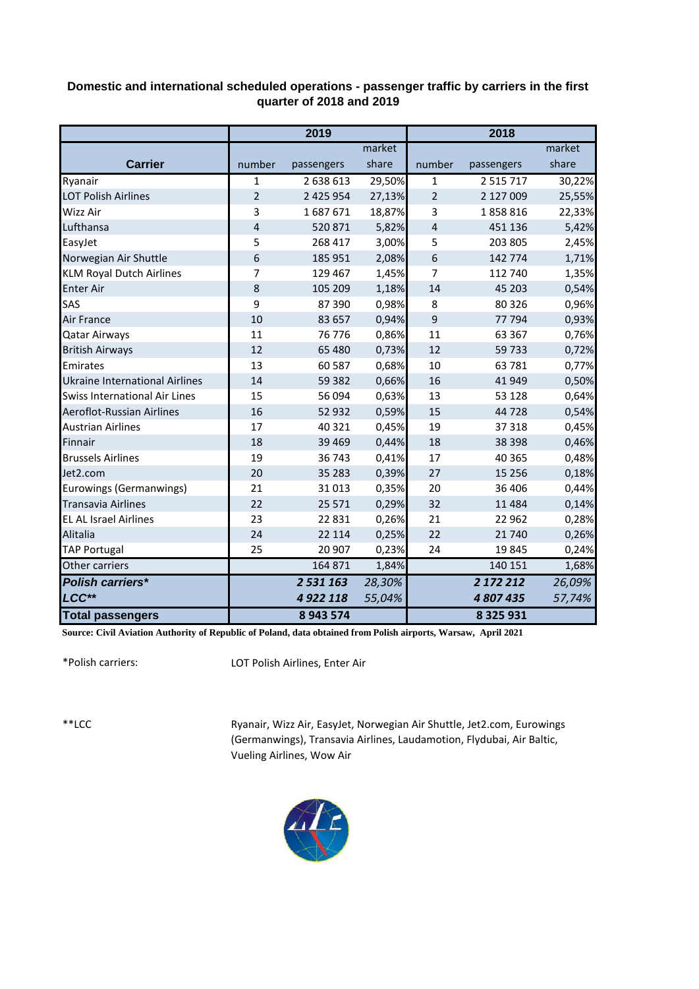## **Domestic and international scheduled operations - passenger traffic by carriers in the first quarter of 2018 and 2019**

|                                       | 2019           |               |        | 2018           |               |        |  |
|---------------------------------------|----------------|---------------|--------|----------------|---------------|--------|--|
|                                       |                |               | market |                |               | market |  |
| <b>Carrier</b>                        | number         | passengers    | share  | number         | passengers    | share  |  |
| Ryanair                               | $\mathbf{1}$   | 2 638 613     | 29,50% | $\mathbf{1}$   | 2 5 1 5 7 1 7 | 30,22% |  |
| <b>LOT Polish Airlines</b>            | $\overline{2}$ | 2 425 954     | 27,13% | $\overline{2}$ | 2 127 009     | 25,55% |  |
| Wizz Air                              | 3              | 1687671       | 18,87% | 3              | 1858816       | 22,33% |  |
| Lufthansa                             | $\overline{4}$ | 520871        | 5,82%  | $\sqrt{4}$     | 451 136       | 5,42%  |  |
| EasyJet                               | 5              | 268 417       | 3,00%  | 5              | 203 805       | 2,45%  |  |
| Norwegian Air Shuttle                 | 6              | 185 951       | 2,08%  | $\sqrt{6}$     | 142 774       | 1,71%  |  |
| <b>KLM Royal Dutch Airlines</b>       | $\overline{7}$ | 129 467       | 1,45%  | 7              | 112 740       | 1,35%  |  |
| <b>Enter Air</b>                      | 8              | 105 209       | 1,18%  | 14             | 45 203        | 0,54%  |  |
| SAS                                   | 9              | 87 390        | 0,98%  | 8              | 80 326        | 0,96%  |  |
| <b>Air France</b>                     | 10             | 83 657        | 0,94%  | 9              | 77 794        | 0,93%  |  |
| <b>Qatar Airways</b>                  | 11             | 76 776        | 0,86%  | 11             | 63 367        | 0,76%  |  |
| <b>British Airways</b>                | 12             | 65 480        | 0,73%  | 12             | 59 733        | 0,72%  |  |
| Emirates                              | 13             | 60 587        | 0,68%  | 10             | 63 781        | 0,77%  |  |
| <b>Ukraine International Airlines</b> | 14             | 59 382        | 0,66%  | 16             | 41 949        | 0,50%  |  |
| Swiss International Air Lines         | 15             | 56 094        | 0,63%  | 13             | 53 1 28       | 0,64%  |  |
| Aeroflot-Russian Airlines             | 16             | 52 932        | 0,59%  | 15             | 44 728        | 0,54%  |  |
| <b>Austrian Airlines</b>              | 17             | 40 321        | 0,45%  | 19             | 37 318        | 0,45%  |  |
| Finnair                               | 18             | 39 4 69       | 0,44%  | 18             | 38 398        | 0,46%  |  |
| <b>Brussels Airlines</b>              | 19             | 36743         | 0,41%  | 17             | 40 365        | 0,48%  |  |
| Jet2.com                              | 20             | 35 28 3       | 0,39%  | 27             | 15 2 5 6      | 0,18%  |  |
| Eurowings (Germanwings)               | 21             | 31013         | 0,35%  | 20             | 36 406        | 0,44%  |  |
| <b>Transavia Airlines</b>             | 22             | 25 571        | 0,29%  | 32             | 11 4 8 4      | 0,14%  |  |
| <b>EL AL Israel Airlines</b>          | 23             | 22 8 31       | 0,26%  | 21             | 22 962        | 0,28%  |  |
| Alitalia                              | 24             | 22 114        | 0,25%  | 22             | 21 740        | 0,26%  |  |
| <b>TAP Portugal</b>                   | 25             | 20 907        | 0,23%  | 24             | 19845         | 0,24%  |  |
| Other carriers                        |                | 164 871       | 1,84%  |                | 140 151       | 1,68%  |  |
| <b>Polish carriers*</b>               |                | 2 5 3 1 1 6 3 | 28,30% |                | 2 172 212     | 26,09% |  |
| LCC**                                 |                | 4 9 22 118    | 55,04% |                | 4807435       | 57,74% |  |
| <b>Total passengers</b>               |                | 8943574       |        |                | 8 3 2 5 9 3 1 |        |  |

**Source: Civil Aviation Authority of Republic of Poland, data obtained from Polish airports, Warsaw, April 2021**

\*Polish carriers:

LOT Polish Airlines, Enter Air

\*\*LCC

Ryanair, Wizz Air, EasyJet, Norwegian Air Shuttle, Jet2.com, Eurowings (Germanwings), Transavia Airlines, Laudamotion, Flydubai, Air Baltic, Vueling Airlines, Wow Air